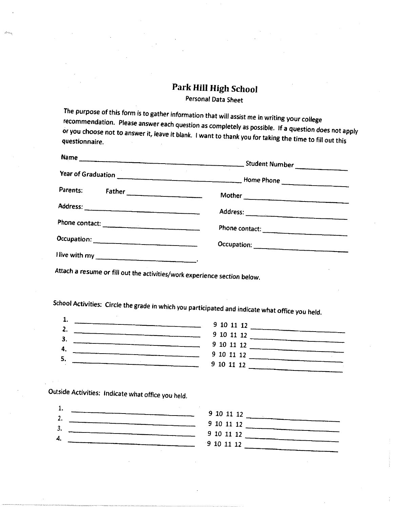## Park Hill High School

Personal Data Sheet

The purpose of this form is to gather information that *will* assist me in writing your college recommendation. Please answer each question as completely as possible. If a question does not apply or you choose not to answer it, leave it blank. I want to thank you for taking the time to fill out this questionnaire.

| Parents:<br>Father | Mother         |
|--------------------|----------------|
|                    |                |
|                    | Phone contact: |
|                    |                |
|                    | Occupation:    |

Attach a resume or fill out the activities/work *experience* section below.

School Activities: Circle the grade in which you participated and indicate what office you held.



Outside Activities: Indicate what office you held.

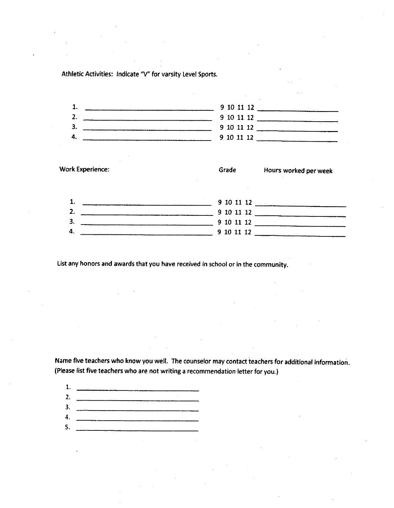Athletic Activities: Indicate "V" for varsity Level Sports.

|  | 9 10 11 12 |  |
|--|------------|--|
|  | 9 10 11 12 |  |
|  | 9 10 11 12 |  |
|  | 9 10 11 12 |  |
|  |            |  |

|    | <b>Work Experience:</b> | Grade      | Hours worked per week |
|----|-------------------------|------------|-----------------------|
|    |                         | 9 10 11 12 |                       |
| 2. |                         | 9 10 11 12 |                       |
| 3. |                         | 9 10 11 12 |                       |
| Д  |                         | 9 10 11 12 |                       |

List any honors and awards that you have received in school or in the community.

Name five teachers who know you well. The counselor may contact teachers for additional information. (Please list five teachers who are not writing a recommendation letter for you.)

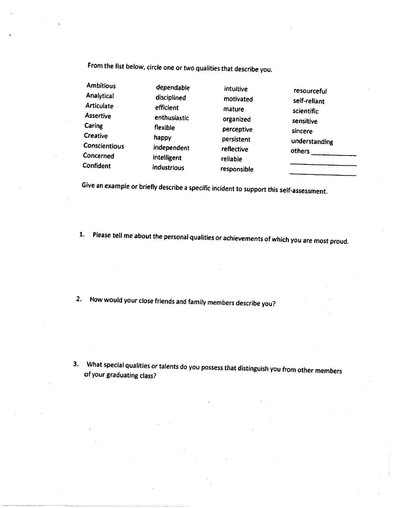From the list below, circle one or two qualities that describe you.

| <b>Ambitious</b>  | dependable   | intuitive   |               |
|-------------------|--------------|-------------|---------------|
| Analytical        | disciplined  | motivated   | resourceful   |
| <b>Articulate</b> | efficient    | mature      | self-reliant  |
| <b>Assertive</b>  | enthusiastic | organized   | scientific    |
| Caring            | flexible     | perceptive  | sensitive     |
| Creative          | happy        | persistent  | sincere       |
| Conscientious     | independent  | reflective  | understanding |
| Concerned         | intelligent  | reliable    | others        |
| Confident         | industrious  | resnancihlo |               |

Give an example or briefly describe a specific incident to support this self-assessment.

1. Please tell me about the personal qualities or achievements of which you are most proud.

2. How would your close friends and family members describe you?

3. What special qualities or talents do you possess that distinguish you from other members of your graduating class?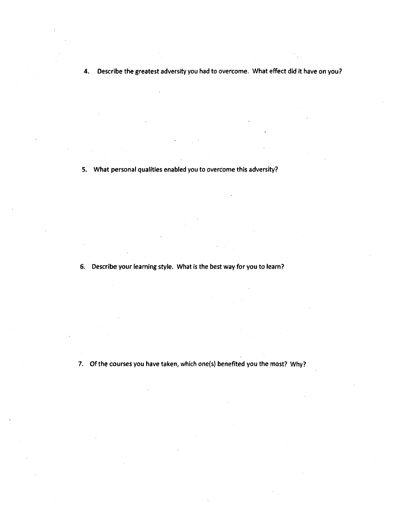S. What personal qualities enabled you to overcome this adversity?

6. Describe your learning style. What is the best way for you to learn?

7. Of the courses you have taken, which one(s) benefited you the most? Why?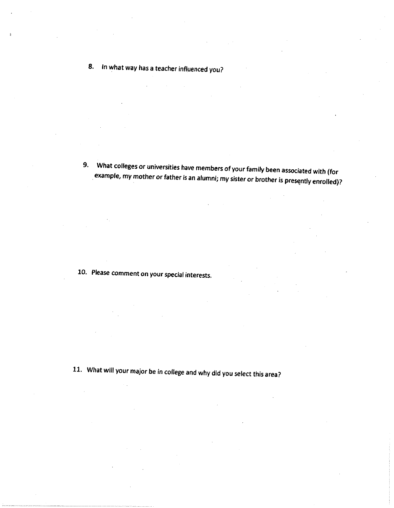## 8. In what way has a teacher influenced you?

9. What colleges or universities have members of your family been associated with (for example, my mother or father is an alumni; my sister or brother is presently enrolled)?

10. Please comment on your special interests.

11. What will your major be in college and why did you select this area?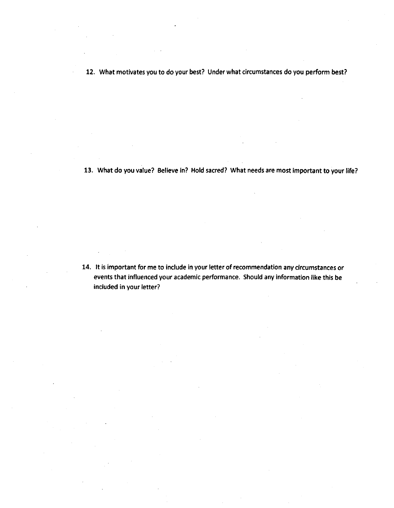12. What motivates you to do your best? Under what circumstances do you perform best?

13. What do you value? Believe in? Hold sacred? What needs are most important to your life?

14. It is important for me to include in your letter of recommendation any circumstances or events that *influenced* your academic performance. Should any information like this be included in your letter?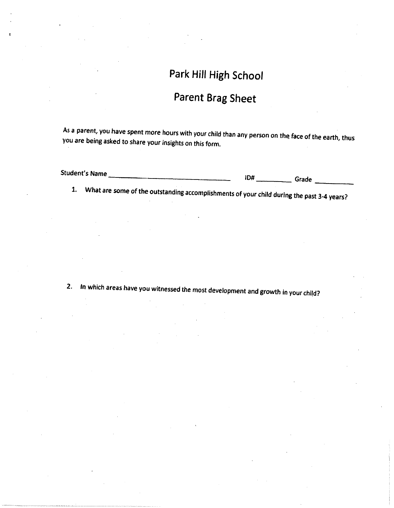## Park Hill High School

## Parent Brag Sheet

As a parent, you have spent more hours with your child than any person on the face of the earth, thus you are being asked to share your insights on this form.

| Student's Name | ID# | Grade |
|----------------|-----|-------|
|                |     |       |

1. What are some of the outstanding accomplishments of your child during the past 3-4 years?

2. In which areas have you witnessed *the* most development and growth in your child?